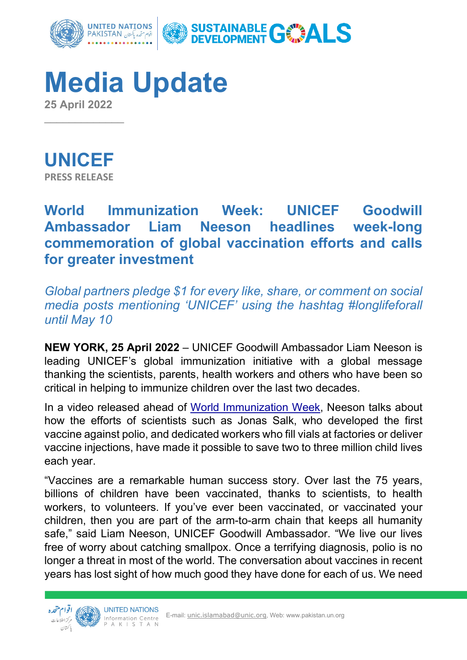

**Media Update 25 April 2022** 



 $\overline{\phantom{a}}$ 

# **World Immunization Week: UNICEF Goodwill Ambassador Liam Neeson headlines week-long commemoration of global vaccination efforts and calls for greater investment**

*Global partners pledge \$1 for every like, share, or comment on social media posts mentioning 'UNICEF' using the hashtag #longlifeforall until May 10* 

**NEW YORK, 25 April 2022** – UNICEF Goodwill Ambassador Liam Neeson is leading UNICEF's global immunization initiative with a global message thanking the scientists, parents, health workers and others who have been so critical in helping to immunize children over the last two decades.

In a video released ahead of World Immunization Week, Neeson talks about how the efforts of scientists such as Jonas Salk, who developed the first vaccine against polio, and dedicated workers who fill vials at factories or deliver vaccine injections, have made it possible to save two to three million child lives each year.

"Vaccines are a remarkable human success story. Over last the 75 years, billions of children have been vaccinated, thanks to scientists, to health workers, to volunteers. If you've ever been vaccinated, or vaccinated your children, then you are part of the arm-to-arm chain that keeps all humanity safe," said Liam Neeson, UNICEF Goodwill Ambassador. "We live our lives free of worry about catching smallpox. Once a terrifying diagnosis, polio is no longer a threat in most of the world. The conversation about vaccines in recent years has lost sight of how much good they have done for each of us. We need

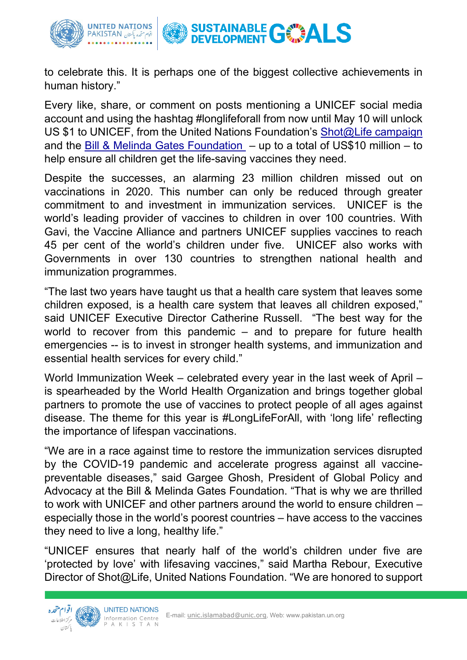

to celebrate this. It is perhaps one of the biggest collective achievements in human history."

Every like, share, or comment on posts mentioning a UNICEF social media account and using the hashtag #longlifeforall from now until May 10 will unlock US \$1 to UNICEF, from the United Nations Foundation's [Shot@Life campaign](https://shotatlife.org/) and the [Bill & Melinda Gates Foundation](https://www.gatesfoundation.org/) – up to a total of US\$10 million – to help ensure all children get the life-saving vaccines they need.

Despite the successes, an alarming 23 million children missed out on vaccinations in 2020. This number can only be reduced through greater commitment to and investment in immunization services. UNICEF is the world's leading provider of vaccines to children in over 100 countries. With Gavi, the Vaccine Alliance and partners UNICEF supplies vaccines to reach 45 per cent of the world's children under five. UNICEF also works with Governments in over 130 countries to strengthen national health and immunization programmes.

"The last two years have taught us that a health care system that leaves some children exposed, is a health care system that leaves all children exposed," said UNICEF Executive Director Catherine Russell. "The best way for the world to recover from this pandemic – and to prepare for future health emergencies -- is to invest in stronger health systems, and immunization and essential health services for every child."

World Immunization Week – celebrated every year in the last week of April – is spearheaded by the World Health Organization and brings together global partners to promote the use of vaccines to protect people of all ages against disease. The theme for this year is #LongLifeForAll, with 'long life' reflecting the importance of lifespan vaccinations.

"We are in a race against time to restore the immunization services disrupted by the COVID-19 pandemic and accelerate progress against all vaccinepreventable diseases," said Gargee Ghosh, President of Global Policy and Advocacy at the Bill & Melinda Gates Foundation. "That is why we are thrilled to work with UNICEF and other partners around the world to ensure children – especially those in the world's poorest countries – have access to the vaccines they need to live a long, healthy life."

"UNICEF ensures that nearly half of the world's children under five are 'protected by love' with lifesaving vaccines," said Martha Rebour, Executive Director of Shot@Life, United Nations Foundation. "We are honored to support

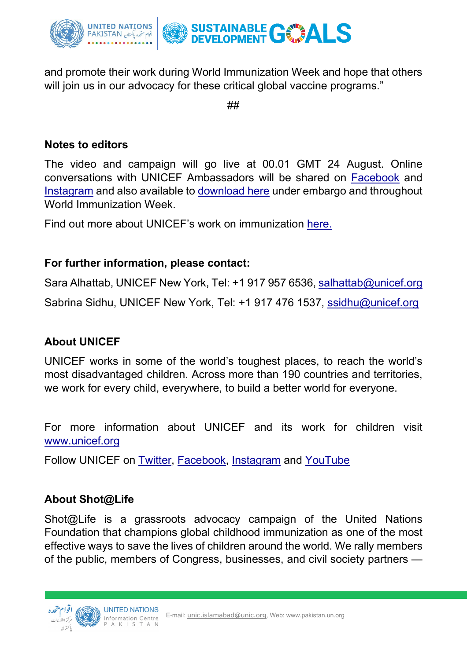

and promote their work during World Immunization Week and hope that others will join us in our advocacy for these critical global vaccine programs."

##

# **Notes to editors**

The video and campaign will go live at 00.01 GMT 24 August. Online conversations with UNICEF Ambassadors will be shared on [Facebook](https://www.facebook.com/unicef/) and [Instagram](https://www.instagram.com/accounts/login/?next=/unicef/) and also available to [download here](https://weshare.unicef.org/Package/2AMZIFF679JM) under embargo and throughout World Immunization Week.

Find out more about UNICEF's work on immunization [here.](https://www.unicef.org/immunization) 

# **For further information, please contact:**

Sara Alhattab, UNICEF New York, Tel: +1 917 957 6536, [salhattab@unicef.org](mailto:salhattab@unicef.org)  Sabrina Sidhu, UNICEF New York, Tel: +1 917 476 1537, [ssidhu@unicef.org](mailto:ssidhu@unicef.org) 

# **About UNICEF**

UNICEF works in some of the world's toughest places, to reach the world's most disadvantaged children. Across more than 190 countries and territories, we work for every child, everywhere, to build a better world for everyone.

For more information about UNICEF and its work for children visit [www.unicef.org](http://www.unicef.org/) 

Follow UNICEF on [Twitter,](https://twitter.com/unicefmedia) [Facebook,](https://www.facebook.com/unicef/) [Instagram](https://www.instagram.com/accounts/login/?next=/unicef/) and [YouTube](https://www.youtube.com/unicef)

# **About Shot@Life**

Shot@Life is a grassroots advocacy campaign of the United Nations Foundation that champions global childhood immunization as one of the most effective ways to save the lives of children around the world. We rally members of the public, members of Congress, businesses, and civil society partners —